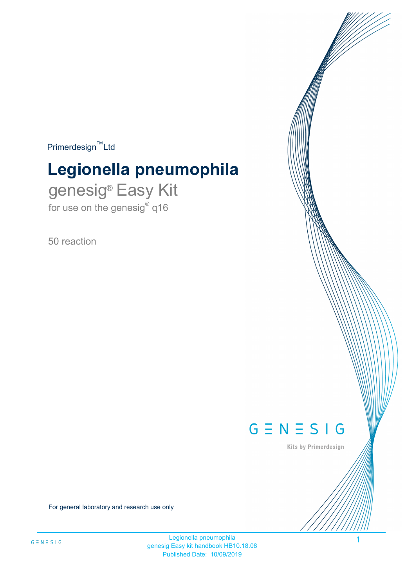$Primerdesign^{\text{TM}}$ Ltd

# **Legionella pneumophila**

genesig® Easy Kit for use on the genesig $^{\circ}$  q16

50 reaction



Kits by Primerdesign

1

For general laboratory and research use only

Legionella pneumophila genesig Easy kit handbook HB10.18.08 Published Date: 10/09/2019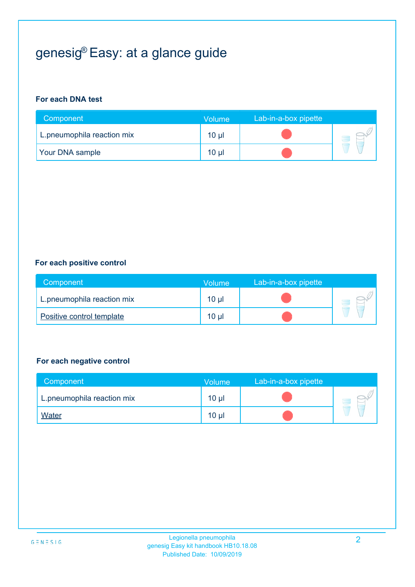## genesig® Easy: at a glance guide

#### **For each DNA test**

| Component                  | Volume          | Lab-in-a-box pipette |  |
|----------------------------|-----------------|----------------------|--|
| L.pneumophila reaction mix | 10 <sub>µ</sub> |                      |  |
| <b>Your DNA sample</b>     | 10 <sub>µ</sub> |                      |  |

#### **For each positive control**

| Component                  | Volume   | Lab-in-a-box pipette |  |
|----------------------------|----------|----------------------|--|
| L.pneumophila reaction mix | $10 \mu$ |                      |  |
| Positive control template  | $10 \mu$ |                      |  |

#### **For each negative control**

| Component                  | Volume          | Lab-in-a-box pipette |  |
|----------------------------|-----------------|----------------------|--|
| L.pneumophila reaction mix | 10 <sub>µ</sub> |                      |  |
| <b>Water</b>               | 10 <sub>µ</sub> |                      |  |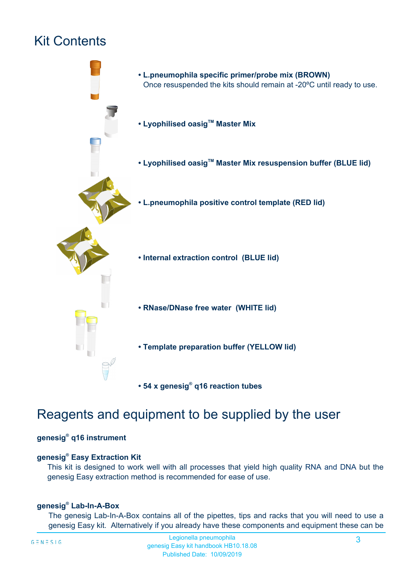## Kit Contents



## Reagents and equipment to be supplied by the user

#### **genesig® q16 instrument**

#### **genesig® Easy Extraction Kit**

This kit is designed to work well with all processes that yield high quality RNA and DNA but the genesig Easy extraction method is recommended for ease of use.

#### **genesig® Lab-In-A-Box**

The genesig Lab-In-A-Box contains all of the pipettes, tips and racks that you will need to use a genesig Easy kit. Alternatively if you already have these components and equipment these can be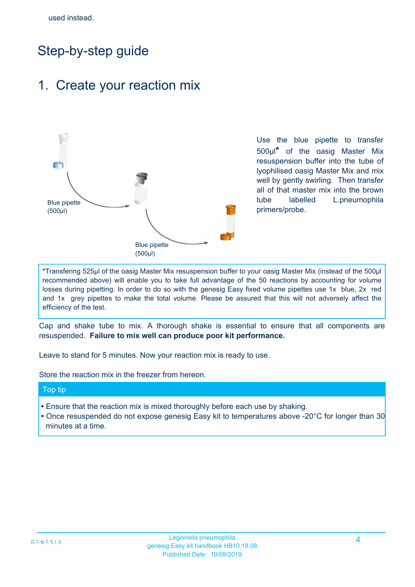## Step-by-step guide

### 1. Create your reaction mix



Use the blue pipette to transfer 500µl**\*** of the oasig Master Mix resuspension buffer into the tube of lyophilised oasig Master Mix and mix well by gently swirling. Then transfer all of that master mix into the brown tube labelled L.pneumophila primers/probe.

**\***Transfering 525µl of the oasig Master Mix resuspension buffer to your oasig Master Mix (instead of the 500µl recommended above) will enable you to take full advantage of the 50 reactions by accounting for volume losses during pipetting. In order to do so with the genesig Easy fixed volume pipettes use 1x blue, 2x red and 1x grey pipettes to make the total volume. Please be assured that this will not adversely affect the efficiency of the test.

Cap and shake tube to mix. A thorough shake is essential to ensure that all components are resuspended. **Failure to mix well can produce poor kit performance.**

Leave to stand for 5 minutes. Now your reaction mix is ready to use.

Store the reaction mix in the freezer from hereon.

#### Top tip

- Ensure that the reaction mix is mixed thoroughly before each use by shaking.
- **•** Once resuspended do not expose genesig Easy kit to temperatures above -20°C for longer than 30 minutes at a time.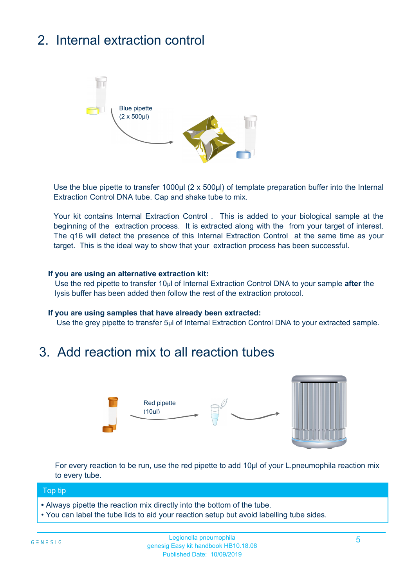## 2. Internal extraction control



Use the blue pipette to transfer 1000µl (2 x 500µl) of template preparation buffer into the Internal Extraction Control DNA tube. Cap and shake tube to mix.

Your kit contains Internal Extraction Control . This is added to your biological sample at the beginning of the extraction process. It is extracted along with the from your target of interest. The q16 will detect the presence of this Internal Extraction Control at the same time as your target. This is the ideal way to show that your extraction process has been successful.

#### **If you are using an alternative extraction kit:**

Use the red pipette to transfer 10µl of Internal Extraction Control DNA to your sample **after** the lysis buffer has been added then follow the rest of the extraction protocol.

#### **If you are using samples that have already been extracted:**

Use the grey pipette to transfer 5µl of Internal Extraction Control DNA to your extracted sample.

### 3. Add reaction mix to all reaction tubes



For every reaction to be run, use the red pipette to add 10µl of your L.pneumophila reaction mix to every tube.

#### Top tip

- Always pipette the reaction mix directly into the bottom of the tube.
- You can label the tube lids to aid your reaction setup but avoid labelling tube sides.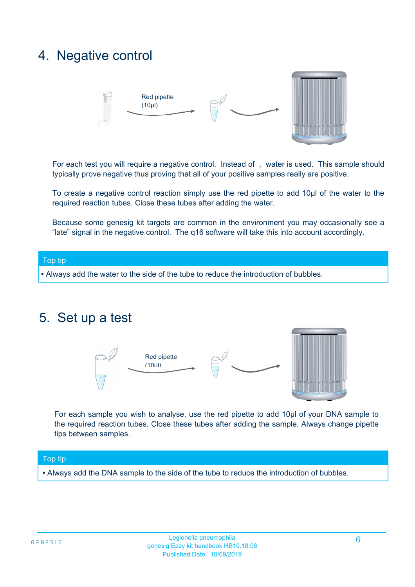### 4. Negative control



For each test you will require a negative control. Instead of , water is used. This sample should typically prove negative thus proving that all of your positive samples really are positive.

To create a negative control reaction simply use the red pipette to add 10µl of the water to the required reaction tubes. Close these tubes after adding the water.

Because some genesig kit targets are common in the environment you may occasionally see a "late" signal in the negative control. The q16 software will take this into account accordingly.

## Top tip

**•** Always add the water to the side of the tube to reduce the introduction of bubbles.

### 5. Set up a test



For each sample you wish to analyse, use the red pipette to add 10µl of your DNA sample to the required reaction tubes. Close these tubes after adding the sample. Always change pipette tips between samples.

#### Top tip

**•** Always add the DNA sample to the side of the tube to reduce the introduction of bubbles.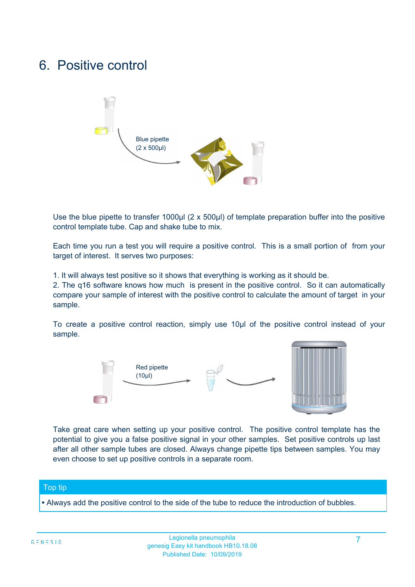## 6. Positive control



Use the blue pipette to transfer 1000µl (2 x 500µl) of template preparation buffer into the positive control template tube. Cap and shake tube to mix.

Each time you run a test you will require a positive control. This is a small portion of from your target of interest. It serves two purposes:

1. It will always test positive so it shows that everything is working as it should be.

2. The q16 software knows how much is present in the positive control. So it can automatically compare your sample of interest with the positive control to calculate the amount of target in your sample.

To create a positive control reaction, simply use 10µl of the positive control instead of your sample.



Take great care when setting up your positive control. The positive control template has the potential to give you a false positive signal in your other samples. Set positive controls up last after all other sample tubes are closed. Always change pipette tips between samples. You may even choose to set up positive controls in a separate room.

#### Top tip

**•** Always add the positive control to the side of the tube to reduce the introduction of bubbles.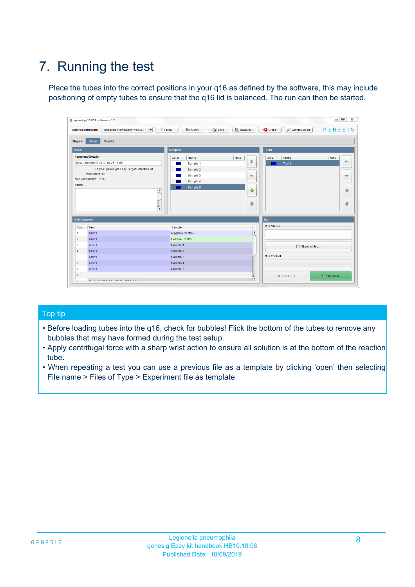## 7. Running the test

Place the tubes into the correct positions in your q16 as defined by the software, this may include positioning of empty tubes to ensure that the q16 lid is balanced. The run can then be started.

|                          | genesig q16 PCR software - 1.2                                               |                                            |                           |                                          | $\qquad \qquad \Box$<br>$\Sigma\!3$ |
|--------------------------|------------------------------------------------------------------------------|--------------------------------------------|---------------------------|------------------------------------------|-------------------------------------|
|                          | Unsaved (New Experiment 2<br>$\vert \cdot \vert$<br><b>Open Experiments:</b> | <b>B</b> Open<br>Save<br>$\frac{1}{2}$ New | Save As                   | <b>C</b> Close<br><b>X</b> Configuration | $G \equiv N \equiv S \mid G$        |
| <b>Stages:</b>           | Setup<br><b>Results</b>                                                      |                                            |                           |                                          |                                     |
| <b>Notes</b>             |                                                                              | <b>Samples</b>                             |                           | <b>Tests</b>                             |                                     |
|                          | <b>Name and Details</b>                                                      | Color<br>Name                              | Note                      | Color<br>Name                            | Note                                |
|                          | New Experiment 2017-10-26 11:06                                              | Sample 1                                   | 4                         | Test 1                                   | ÷                                   |
|                          | Kit type: genesig® Easy Target Detection kit                                 | Sample 2                                   |                           |                                          |                                     |
|                          | Instrument Id:                                                               | Sample 3                                   | $\equiv$                  |                                          | $\qquad \qquad \blacksquare$        |
|                          | Run Completion Time:                                                         | Sample 4                                   |                           |                                          |                                     |
| <b>Notes</b>             | A<br>$\overline{\mathbf{v}}$                                                 | Sample 5                                   | ♦<br>$\ddot{\phantom{1}}$ |                                          | 偷<br>₩                              |
| <b>Well Contents</b>     |                                                                              |                                            |                           | Run                                      |                                     |
| Pos.                     | Test                                                                         | Sample                                     |                           | <b>Run Status</b>                        |                                     |
| $\blacktriangleleft$     | Test 1                                                                       | <b>Negative Control</b>                    | $\blacktriangle$          |                                          |                                     |
| $\overline{2}$           | Test 1                                                                       | Positive Control                           |                           |                                          |                                     |
| $\overline{\mathbf{3}}$  | Test 1                                                                       | Sample 1                                   |                           | Show full log                            |                                     |
| $\overline{4}$           | Test 1                                                                       | Sample 2                                   |                           |                                          |                                     |
| 5                        | Test 1                                                                       | Sample 3                                   |                           | <b>Run Control</b>                       |                                     |
|                          | Test 1                                                                       | Sample 4                                   |                           |                                          |                                     |
|                          |                                                                              |                                            |                           |                                          |                                     |
|                          | Test 1                                                                       | Sample 5                                   |                           |                                          |                                     |
| 6<br>$\overline{7}$<br>8 |                                                                              |                                            | $\overline{\mathbf{v}}$   | Abort Run                                | $\triangleright$ Start Run          |

#### Top tip

- Before loading tubes into the q16, check for bubbles! Flick the bottom of the tubes to remove any bubbles that may have formed during the test setup.
- Apply centrifugal force with a sharp wrist action to ensure all solution is at the bottom of the reaction tube.
- When repeating a test you can use a previous file as a template by clicking 'open' then selecting File name > Files of Type > Experiment file as template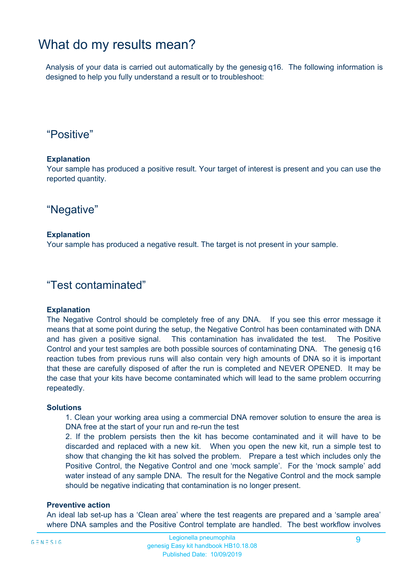### What do my results mean?

Analysis of your data is carried out automatically by the genesig q16. The following information is designed to help you fully understand a result or to troubleshoot:

### "Positive"

#### **Explanation**

Your sample has produced a positive result. Your target of interest is present and you can use the reported quantity.

"Negative"

#### **Explanation**

Your sample has produced a negative result. The target is not present in your sample.

#### "Test contaminated"

#### **Explanation**

The Negative Control should be completely free of any DNA. If you see this error message it means that at some point during the setup, the Negative Control has been contaminated with DNA and has given a positive signal. This contamination has invalidated the test. The Positive Control and your test samples are both possible sources of contaminating DNA. The genesig q16 reaction tubes from previous runs will also contain very high amounts of DNA so it is important that these are carefully disposed of after the run is completed and NEVER OPENED. It may be the case that your kits have become contaminated which will lead to the same problem occurring repeatedly.

#### **Solutions**

1. Clean your working area using a commercial DNA remover solution to ensure the area is DNA free at the start of your run and re-run the test

2. If the problem persists then the kit has become contaminated and it will have to be discarded and replaced with a new kit. When you open the new kit, run a simple test to show that changing the kit has solved the problem. Prepare a test which includes only the Positive Control, the Negative Control and one 'mock sample'. For the 'mock sample' add water instead of any sample DNA. The result for the Negative Control and the mock sample should be negative indicating that contamination is no longer present.

#### **Preventive action**

An ideal lab set-up has a 'Clean area' where the test reagents are prepared and a 'sample area' where DNA samples and the Positive Control template are handled. The best workflow involves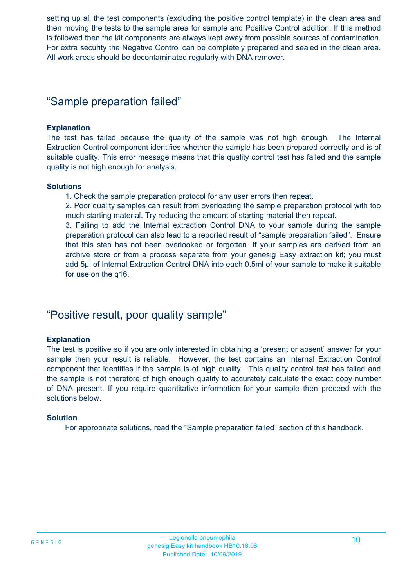setting up all the test components (excluding the positive control template) in the clean area and then moving the tests to the sample area for sample and Positive Control addition. If this method is followed then the kit components are always kept away from possible sources of contamination. For extra security the Negative Control can be completely prepared and sealed in the clean area. All work areas should be decontaminated regularly with DNA remover.

### "Sample preparation failed"

#### **Explanation**

The test has failed because the quality of the sample was not high enough. The Internal Extraction Control component identifies whether the sample has been prepared correctly and is of suitable quality. This error message means that this quality control test has failed and the sample quality is not high enough for analysis.

#### **Solutions**

1. Check the sample preparation protocol for any user errors then repeat.

2. Poor quality samples can result from overloading the sample preparation protocol with too much starting material. Try reducing the amount of starting material then repeat.

3. Failing to add the Internal extraction Control DNA to your sample during the sample preparation protocol can also lead to a reported result of "sample preparation failed". Ensure that this step has not been overlooked or forgotten. If your samples are derived from an archive store or from a process separate from your genesig Easy extraction kit; you must add 5µl of Internal Extraction Control DNA into each 0.5ml of your sample to make it suitable for use on the q16.

### "Positive result, poor quality sample"

#### **Explanation**

The test is positive so if you are only interested in obtaining a 'present or absent' answer for your sample then your result is reliable. However, the test contains an Internal Extraction Control component that identifies if the sample is of high quality. This quality control test has failed and the sample is not therefore of high enough quality to accurately calculate the exact copy number of DNA present. If you require quantitative information for your sample then proceed with the solutions below.

#### **Solution**

For appropriate solutions, read the "Sample preparation failed" section of this handbook.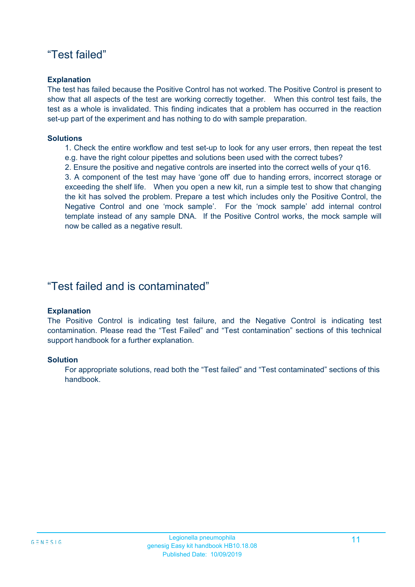### "Test failed"

#### **Explanation**

The test has failed because the Positive Control has not worked. The Positive Control is present to show that all aspects of the test are working correctly together. When this control test fails, the test as a whole is invalidated. This finding indicates that a problem has occurred in the reaction set-up part of the experiment and has nothing to do with sample preparation.

#### **Solutions**

1. Check the entire workflow and test set-up to look for any user errors, then repeat the test e.g. have the right colour pipettes and solutions been used with the correct tubes?

2. Ensure the positive and negative controls are inserted into the correct wells of your q16.

3. A component of the test may have 'gone off' due to handing errors, incorrect storage or exceeding the shelf life. When you open a new kit, run a simple test to show that changing the kit has solved the problem. Prepare a test which includes only the Positive Control, the Negative Control and one 'mock sample'. For the 'mock sample' add internal control template instead of any sample DNA. If the Positive Control works, the mock sample will now be called as a negative result.

### "Test failed and is contaminated"

#### **Explanation**

The Positive Control is indicating test failure, and the Negative Control is indicating test contamination. Please read the "Test Failed" and "Test contamination" sections of this technical support handbook for a further explanation.

#### **Solution**

For appropriate solutions, read both the "Test failed" and "Test contaminated" sections of this handbook.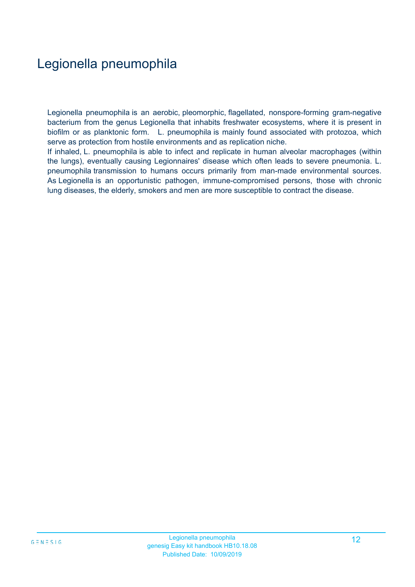## Legionella pneumophila

Legionella pneumophila is an aerobic, pleomorphic, flagellated, nonspore-forming gram-negative bacterium from the genus Legionella that inhabits freshwater ecosystems, where it is present in biofilm or as planktonic form. L. pneumophila is mainly found associated with protozoa, which serve as protection from hostile environments and as replication niche.

If inhaled, L. pneumophila is able to infect and replicate in human alveolar macrophages (within the lungs), eventually causing Legionnaires' disease which often leads to severe pneumonia. L. pneumophila transmission to humans occurs primarily from man-made environmental sources. As Legionella is an opportunistic pathogen, immune-compromised persons, those with chronic lung diseases, the elderly, smokers and men are more susceptible to contract the disease.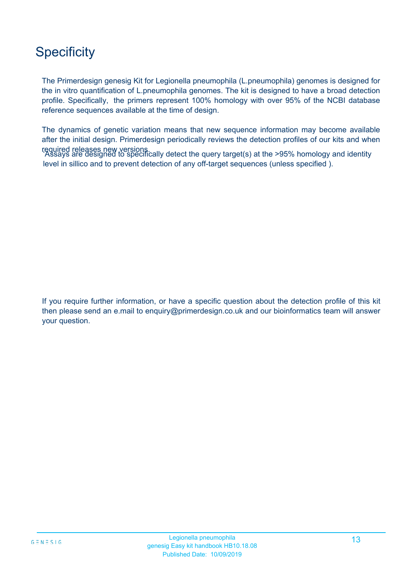## **Specificity**

The Primerdesign genesig Kit for Legionella pneumophila (L.pneumophila) genomes is designed for the in vitro quantification of L.pneumophila genomes. The kit is designed to have a broad detection profile. Specifically, the primers represent 100% homology with over 95% of the NCBI database reference sequences available at the time of design.

'Assays are designed to specifically detect the query target(s) at the >95% homology and identity required releases new versions. level in sillico and to prevent detection of any off-target sequences (unless specified ). The dynamics of genetic variation means that new sequence information may become available after the initial design. Primerdesign periodically reviews the detection profiles of our kits and when

If you require further information, or have a specific question about the detection profile of this kit then please send an e.mail to enquiry@primerdesign.co.uk and our bioinformatics team will answer your question.